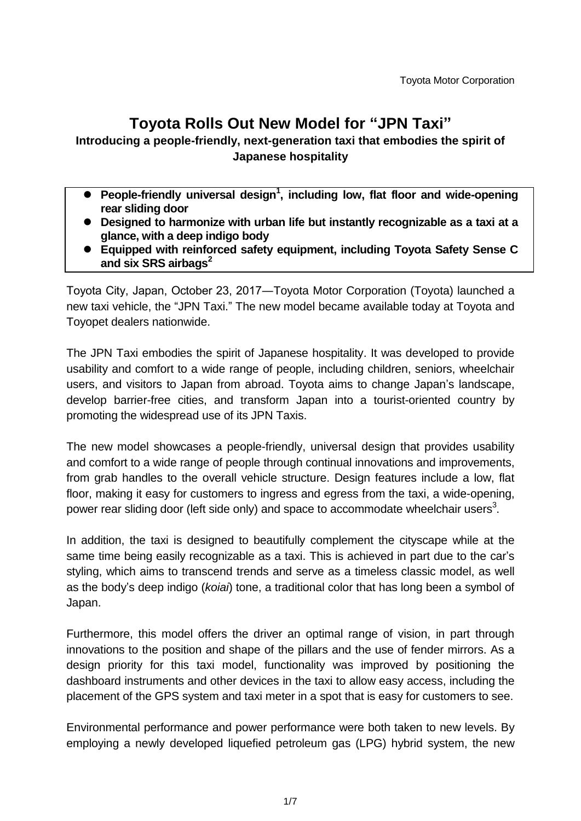# **Toyota Rolls Out New Model for "JPN Taxi"**

# **Introducing a people-friendly, next-generation taxi that embodies the spirit of Japanese hospitality**

- **People-friendly universal design<sup>1</sup> , including low, flat floor and wide-opening rear sliding door**
- **Designed to harmonize with urban life but instantly recognizable as a taxi at a glance, with a deep indigo body**
- **Equipped with reinforced safety equipment, including Toyota Safety Sense C and six SRS airbags<sup>2</sup>**

Toyota City, Japan, October 23, 2017―Toyota Motor Corporation (Toyota) launched a new taxi vehicle, the "JPN Taxi." The new model became available today at Toyota and Toyopet dealers nationwide.

The JPN Taxi embodies the spirit of Japanese hospitality. It was developed to provide usability and comfort to a wide range of people, including children, seniors, wheelchair users, and visitors to Japan from abroad. Toyota aims to change Japan's landscape, develop barrier-free cities, and transform Japan into a tourist-oriented country by promoting the widespread use of its JPN Taxis.

The new model showcases a people-friendly, universal design that provides usability and comfort to a wide range of people through continual innovations and improvements, from grab handles to the overall vehicle structure. Design features include a low, flat floor, making it easy for customers to ingress and egress from the taxi, a wide-opening, power rear sliding door (left side only) and space to accommodate wheelchair users<sup>3</sup>.

In addition, the taxi is designed to beautifully complement the cityscape while at the same time being easily recognizable as a taxi. This is achieved in part due to the car's styling, which aims to transcend trends and serve as a timeless classic model, as well as the body's deep indigo (*koiai*) tone, a traditional color that has long been a symbol of Japan.

Furthermore, this model offers the driver an optimal range of vision, in part through innovations to the position and shape of the pillars and the use of fender mirrors. As a design priority for this taxi model, functionality was improved by positioning the dashboard instruments and other devices in the taxi to allow easy access, including the placement of the GPS system and taxi meter in a spot that is easy for customers to see.

Environmental performance and power performance were both taken to new levels. By employing a newly developed liquefied petroleum gas (LPG) hybrid system, the new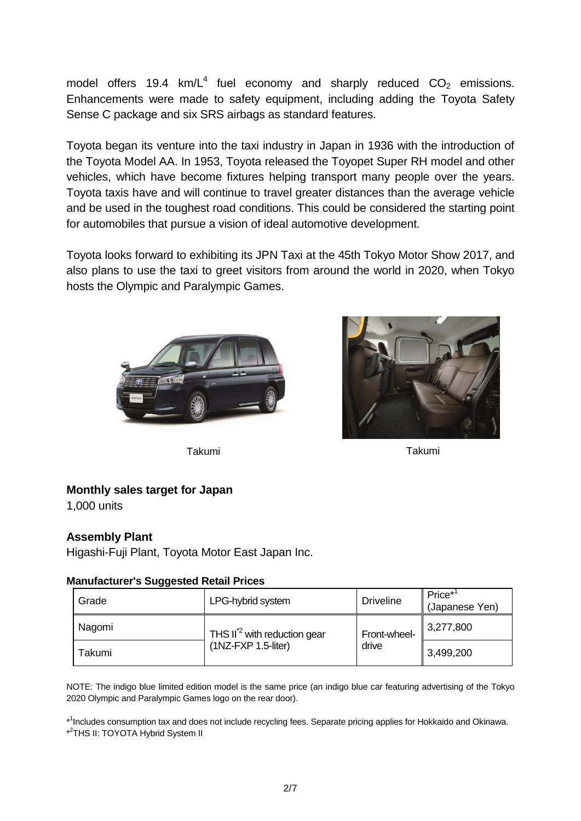model offers 19.4  $km/L^4$  fuel economy and sharply reduced  $CO<sub>2</sub>$  emissions. Enhancements were made to safety equipment, including adding the Toyota Safety Sense C package and six SRS airbags as standard features.

Toyota began its venture into the taxi industry in Japan in 1936 with the introduction of the Toyota Model AA. In 1953, Toyota released the Toyopet Super RH model and other vehicles, which have become fixtures helping transport many people over the years. Toyota taxis have and will continue to travel greater distances than the average vehicle and be used in the toughest road conditions. This could be considered the starting point for automobiles that pursue a vision of ideal automotive development.

Toyota looks forward to exhibiting its JPN Taxi at the 45th Tokyo Motor Show 2017, and also plans to use the taxi to greet visitors from around the world in 2020, when Tokyo hosts the Olympic and Paralympic Games.





Takumi Takumi

## **Monthly sales target for Japan**

1,000 units

## **Assembly Plant**

Higashi-Fuji Plant, Toyota Motor East Japan Inc.

#### **Manufacturer's Suggested Retail Prices**

| Grade  | LPG-hybrid system                                                 | <b>Driveline</b>      | $Price*1$<br>(Japanese Yen) |
|--------|-------------------------------------------------------------------|-----------------------|-----------------------------|
| Nagomi | THS II <sup>*2</sup> with reduction gear<br>$(1NZ-FXP 1.5-liter)$ | Front-wheel-<br>drive | 3,277,800                   |
| Takumi |                                                                   |                       | 3,499,200                   |

NOTE: The indigo blue limited edition model is the same price (an indigo blue car featuring advertising of the Tokyo 2020 Olympic and Paralympic Games logo on the rear door).

\*<sup>1</sup>Includes consumption tax and does not include recycling fees. Separate pricing applies for Hokkaido and Okinawa. \*<sup>2</sup>THS II: TOYOTA Hybrid System II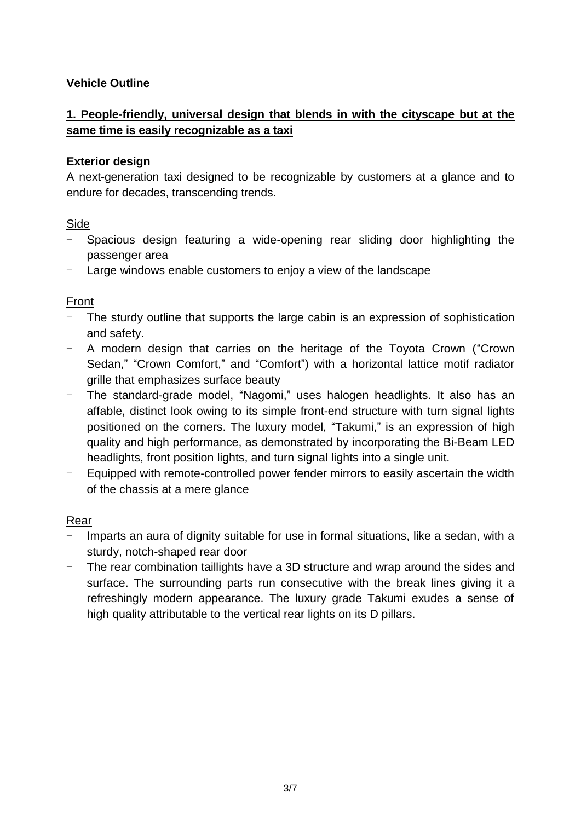## **Vehicle Outline**

# **1. People-friendly, universal design that blends in with the cityscape but at the same time is easily recognizable as a taxi**

## **Exterior design**

A next-generation taxi designed to be recognizable by customers at a glance and to endure for decades, transcending trends.

## Side

- Spacious design featuring a wide-opening rear sliding door highlighting the passenger area
- Large windows enable customers to enjoy a view of the landscape

## Front

- The sturdy outline that supports the large cabin is an expression of sophistication and safety.
- A modern design that carries on the heritage of the Toyota Crown ("Crown Sedan," "Crown Comfort," and "Comfort") with a horizontal lattice motif radiator grille that emphasizes surface beauty
- The standard-grade model, "Nagomi," uses halogen headlights. It also has an affable, distinct look owing to its simple front-end structure with turn signal lights positioned on the corners. The luxury model, "Takumi," is an expression of high quality and high performance, as demonstrated by incorporating the Bi-Beam LED headlights, front position lights, and turn signal lights into a single unit.
- Equipped with remote-controlled power fender mirrors to easily ascertain the width of the chassis at a mere glance

## Rear

- Imparts an aura of dignity suitable for use in formal situations, like a sedan, with a sturdy, notch-shaped rear door
- The rear combination taillights have a 3D structure and wrap around the sides and surface. The surrounding parts run consecutive with the break lines giving it a refreshingly modern appearance. The luxury grade Takumi exudes a sense of high quality attributable to the vertical rear lights on its D pillars.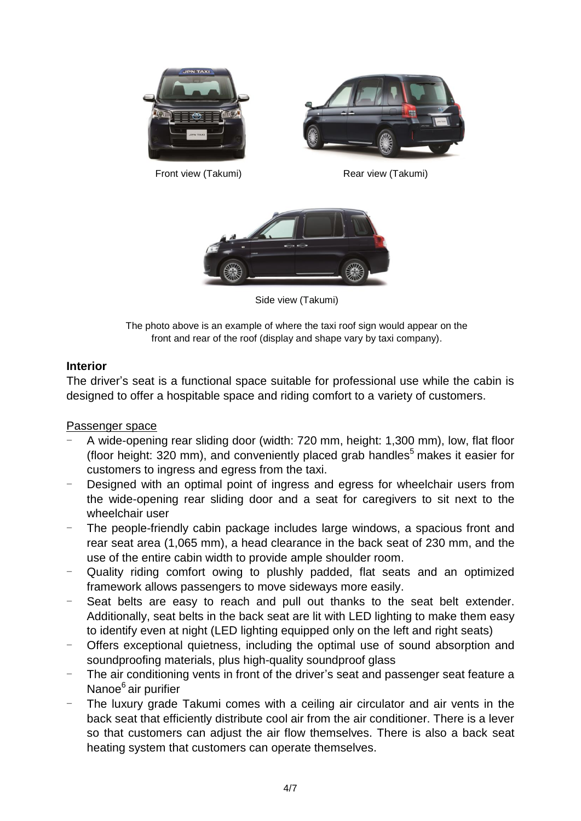

Side view (Takumi)

The photo above is an example of where the taxi roof sign would appear on the front and rear of the roof (display and shape vary by taxi company).

#### **Interior**

The driver's seat is a functional space suitable for professional use while the cabin is designed to offer a hospitable space and riding comfort to a variety of customers.

Passenger space

- A wide-opening rear sliding door (width: 720 mm, height: 1,300 mm), low, flat floor (floor height: 320 mm), and conveniently placed grab handles<sup>5</sup> makes it easier for customers to ingress and egress from the taxi.
- Designed with an optimal point of ingress and egress for wheelchair users from the wide-opening rear sliding door and a seat for caregivers to sit next to the wheelchair user
- The people-friendly cabin package includes large windows, a spacious front and rear seat area (1,065 mm), a head clearance in the back seat of 230 mm, and the use of the entire cabin width to provide ample shoulder room.
- Quality riding comfort owing to plushly padded, flat seats and an optimized framework allows passengers to move sideways more easily.
- Seat belts are easy to reach and pull out thanks to the seat belt extender. Additionally, seat belts in the back seat are lit with LED lighting to make them easy to identify even at night (LED lighting equipped only on the left and right seats)
- Offers exceptional quietness, including the optimal use of sound absorption and soundproofing materials, plus high-quality soundproof glass
- The air conditioning vents in front of the driver's seat and passenger seat feature a Nanoe<sup>6</sup> air purifier
- The luxury grade Takumi comes with a ceiling air circulator and air vents in the back seat that efficiently distribute cool air from the air conditioner. There is a lever so that customers can adjust the air flow themselves. There is also a back seat heating system that customers can operate themselves.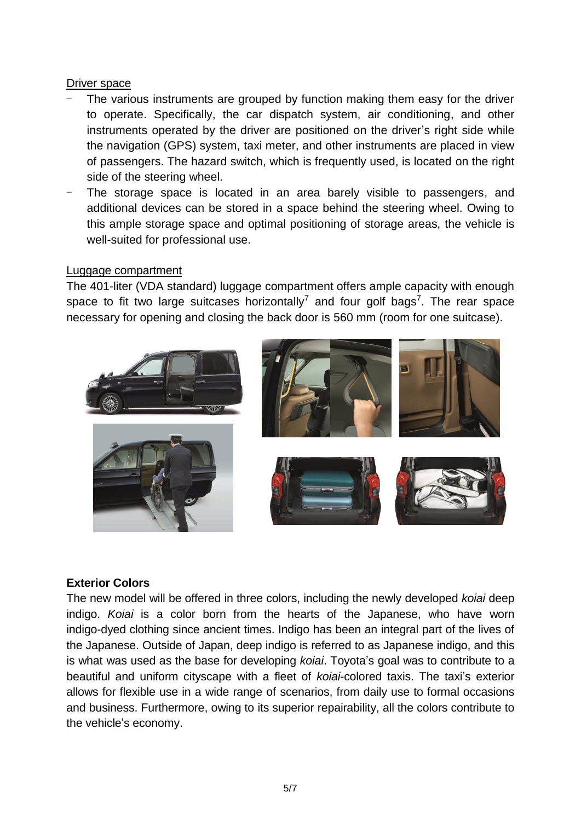#### Driver space

- The various instruments are grouped by function making them easy for the driver to operate. Specifically, the car dispatch system, air conditioning, and other instruments operated by the driver are positioned on the driver's right side while the navigation (GPS) system, taxi meter, and other instruments are placed in view of passengers. The hazard switch, which is frequently used, is located on the right side of the steering wheel.
- The storage space is located in an area barely visible to passengers, and additional devices can be stored in a space behind the steering wheel. Owing to this ample storage space and optimal positioning of storage areas, the vehicle is well-suited for professional use.

#### Luggage compartment

The 401-liter (VDA standard) luggage compartment offers ample capacity with enough space to fit two large suitcases horizontally<sup>7</sup> and four golf bags<sup>7</sup>. The rear space necessary for opening and closing the back door is 560 mm (room for one suitcase).



## **Exterior Colors**

The new model will be offered in three colors, including the newly developed *koiai* deep indigo. *Koiai* is a color born from the hearts of the Japanese, who have worn indigo-dyed clothing since ancient times. Indigo has been an integral part of the lives of the Japanese. Outside of Japan, deep indigo is referred to as Japanese indigo, and this is what was used as the base for developing *koiai*. Toyota's goal was to contribute to a beautiful and uniform cityscape with a fleet of *koiai*-colored taxis. The taxi's exterior allows for flexible use in a wide range of scenarios, from daily use to formal occasions and business. Furthermore, owing to its superior repairability, all the colors contribute to the vehicle's economy.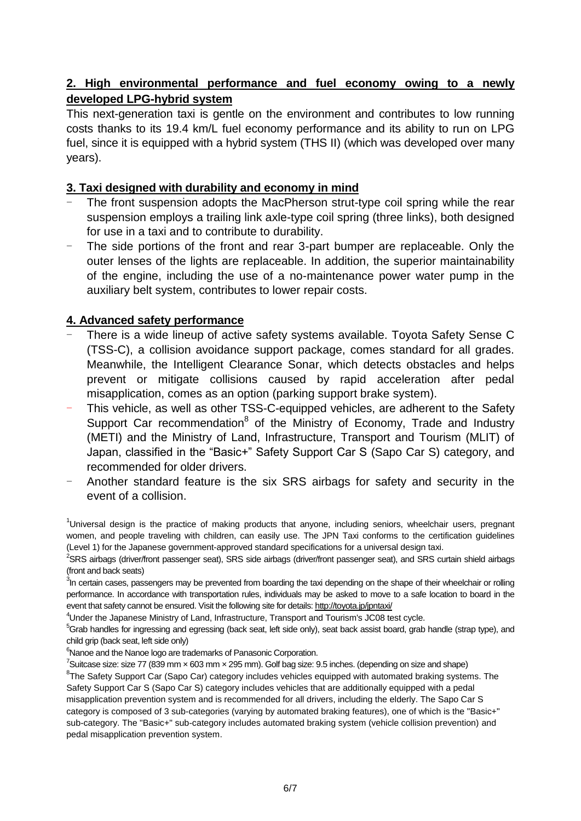## **2. High environmental performance and fuel economy owing to a newly developed LPG-hybrid system**

This next-generation taxi is gentle on the environment and contributes to low running costs thanks to its 19.4 km/L fuel economy performance and its ability to run on LPG fuel, since it is equipped with a hybrid system (THS II) (which was developed over many years).

#### **3. Taxi designed with durability and economy in mind**

- The front suspension adopts the MacPherson strut-type coil spring while the rear suspension employs a trailing link axle-type coil spring (three links), both designed for use in a taxi and to contribute to durability.
- The side portions of the front and rear 3-part bumper are replaceable. Only the outer lenses of the lights are replaceable. In addition, the superior maintainability of the engine, including the use of a no-maintenance power water pump in the auxiliary belt system, contributes to lower repair costs.

#### **4. Advanced safety performance**

- There is a wide lineup of active safety systems available. Toyota Safety Sense C (TSS-C), a collision avoidance support package, comes standard for all grades. Meanwhile, the Intelligent Clearance Sonar, which detects obstacles and helps prevent or mitigate collisions caused by rapid acceleration after pedal misapplication, comes as an option (parking support brake system).
- This vehicle, as well as other TSS-C-equipped vehicles, are adherent to the Safety Support Car recommendation<sup>8</sup> of the Ministry of Economy, Trade and Industry (METI) and the Ministry of Land, Infrastructure, Transport and Tourism (MLIT) of Japan, classified in the "Basic+" Safety Support Car S (Sapo Car S) category, and recommended for older drivers.
- Another standard feature is the six SRS airbags for safety and security in the event of a collision.

<sup>1</sup>Universal design is the practice of making products that anyone, including seniors, wheelchair users, pregnant women, and people traveling with children, can easily use. The JPN Taxi conforms to the certification guidelines (Level 1) for the Japanese government-approved standard specifications for a universal design taxi.

 ${}^{2}$ SRS airbags (driver/front passenger seat), SRS side airbags (driver/front passenger seat), and SRS curtain shield airbags (front and back seats)

 $3$ In certain cases, passengers may be prevented from boarding the taxi depending on the shape of their wheelchair or rolling performance. In accordance with transportation rules, individuals may be asked to move to a safe location to board in the event that safety cannot be ensured. Visit the following site for details[: http://toyota.jp/jpntaxi/](http://toyota.jp/jpntaxi/)

<sup>4</sup>Under the Japanese Ministry of Land, Infrastructure, Transport and Tourism's JC08 test cycle.

<sup>5</sup>Grab handles for ingressing and egressing (back seat, left side only), seat back assist board, grab handle (strap type), and child grip (back seat, left side only)

<sup>6</sup>Nanoe and the Nanoe logo are trademarks of Panasonic Corporation.

 $^7$ Suitcase size: size 77 (839 mm  $\times$  603 mm  $\times$  295 mm). Golf bag size: 9.5 inches. (depending on size and shape)

<sup>8</sup>The Safety Support Car (Sapo Car) category includes vehicles equipped with automated braking systems. The Safety Support Car S (Sapo Car S) category includes vehicles that are additionally equipped with a pedal misapplication prevention system and is recommended for all drivers, including the elderly. The Sapo Car S category is composed of 3 sub-categories (varying by automated braking features), one of which is the "Basic+" sub-category. The "Basic+" sub-category includes automated braking system (vehicle collision prevention) and pedal misapplication prevention system.